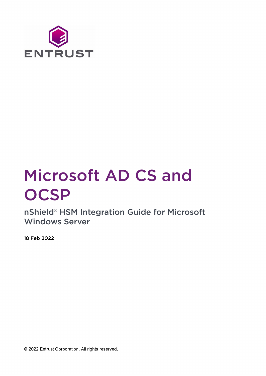

# Microsoft AD CS and **OCSP**

nShield® HSM Integration Guide for Microsoft Windows Server

18 Feb 2022

© 2022 Entrust Corporation. All rights reserved.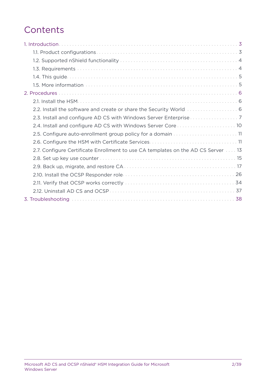# **Contents**

| 2.2. Install the software and create or share the Security World  6               |
|-----------------------------------------------------------------------------------|
|                                                                                   |
| 2.4. Install and configure AD CS with Windows Server Core  10                     |
| 2.5. Configure auto-enrollment group policy for a domain  11                      |
|                                                                                   |
| 2.7. Configure Certificate Enrollment to use CA templates on the AD CS Server  13 |
|                                                                                   |
|                                                                                   |
|                                                                                   |
|                                                                                   |
|                                                                                   |
|                                                                                   |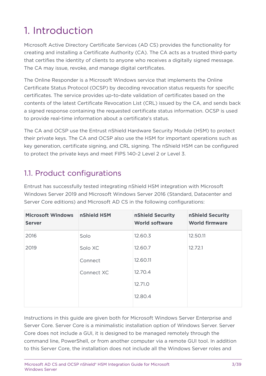# <span id="page-2-0"></span>1. Introduction

Microsoft Active Directory Certificate Services (AD CS) provides the functionality for creating and installing a Certificate Authority (CA). The CA acts as a trusted third-party that certifies the identity of clients to anyone who receives a digitally signed message. The CA may issue, revoke, and manage digital certificates.

The Online Responder is a Microsoft Windows service that implements the Online Certificate Status Protocol (OCSP) by decoding revocation status requests for specific certificates. The service provides up-to-date validation of certificates based on the contents of the latest Certificate Revocation List (CRL) issued by the CA, and sends back a signed response containing the requested certificate status information. OCSP is used to provide real-time information about a certificate's status.

The CA and OCSP use the Entrust nShield Hardware Security Module (HSM) to protect their private keys. The CA and OCSP also use the HSM for important operations such as key generation, certificate signing, and CRL signing. The nShield HSM can be configured to protect the private keys and meet FIPS 140-2 Level 2 or Level 3.

# <span id="page-2-1"></span>1.1. Product configurations

Entrust has successfully tested integrating nShield HSM integration with Microsoft Windows Server 2019 and Microsoft Windows Server 2016 (Standard, Datacenter and Server Core editions) and Microsoft AD CS in the following configurations:

| <b>Microsoft Windows</b><br><b>Server</b> | nShield HSM | nShield Security<br><b>World software</b> | nShield Security<br><b>World firmware</b> |
|-------------------------------------------|-------------|-------------------------------------------|-------------------------------------------|
| 2016                                      | Solo        | 12.60.3                                   | 12.50.11                                  |
| 2019                                      | Solo XC     | 12.60.7                                   | 12.72.1                                   |
|                                           | Connect     | 12.60.11                                  |                                           |
|                                           | Connect XC  | 12.70.4                                   |                                           |
|                                           |             | 12.71.0                                   |                                           |
|                                           |             | 12.80.4                                   |                                           |

Instructions in this guide are given both for Microsoft Windows Server Enterprise and Server Core. Server Core is a minimalistic installation option of Windows Server. Server Core does not include a GUI, it is designed to be managed remotely through the command line, PowerShell, or from another computer via a remote GUI tool. In addition to this Server Core, the installation does not include all the Windows Server roles and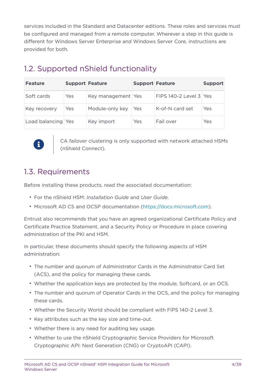services included in the Standard and Datacenter editions. These roles and services must be configured and managed from a remote computer. Wherever a step in this guide is different for Windows Server Enterprise and Windows Server Core, instructions are provided for both.

| <b>Feature</b>     | <b>Support Feature</b> |                    | <b>Support Feature</b> |                          | <b>Support</b> |
|--------------------|------------------------|--------------------|------------------------|--------------------------|----------------|
| Soft cards         | Yes                    | Key management Yes |                        | FIPS 140-2 Level $3$ Yes |                |
| Key recovery       | Yes                    | Module-only key    | Yes                    | K-of-N card set          | Yes            |
| Load balancing Yes |                        | Key import         | Yes                    | Fail over                | Yes            |

# <span id="page-3-0"></span>1.2. Supported nShield functionality



CA failover clustering is only supported with network attached HSMs (nShield Connect).

# <span id="page-3-1"></span>1.3. Requirements

Before installing these products, read the associated documentation:

- For the nShield HSM: *Installation Guide* and *User Guide*.
- Microsoft AD CS and OCSP documentation ([https://docs.microsoft.com\)](https://docs.microsoft.com).

Entrust also recommends that you have an agreed organizational Certificate Policy and Certificate Practice Statement, and a Security Policy or Procedure in place covering administration of the PKI and HSM.

In particular, these documents should specify the following aspects of HSM administration:

- The number and quorum of Administrator Cards in the Administrator Card Set (ACS), and the policy for managing these cards.
- Whether the application keys are protected by the module, Softcard, or an OCS.
- The number and quorum of Operator Cards in the OCS, and the policy for managing these cards.
- Whether the Security World should be compliant with FIPS 140-2 Level 3.
- Key attributes such as the key size and time-out.
- Whether there is any need for auditing key usage.
- Whether to use the nShield Cryptographic Service Providers for Microsoft Cryptographic API: Next Generation (CNG) or CryptoAPI (CAPI).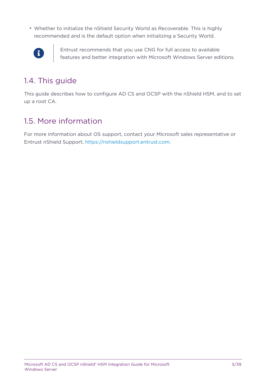• Whether to initialize the nShield Security World as Recoverable. This is highly recommended and is the default option when initializing a Security World.



Entrust recommends that you use CNG for full access to available features and better integration with Microsoft Windows Server editions.

# <span id="page-4-0"></span>1.4. This guide

This guide describes how to configure AD CS and OCSP with the nShield HSM, and to set up a root CA.

# <span id="page-4-1"></span>1.5. More information

For more information about OS support, contact your Microsoft sales representative or Entrust nShield Support, [https://nshieldsupport.entrust.com.](https://nshieldsupport.entrust.com)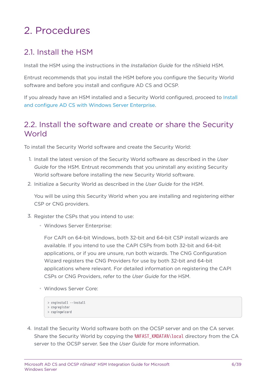# <span id="page-5-0"></span>2. Procedures

# <span id="page-5-1"></span>21. Install the HSM

Install the HSM using the instructions in the *Installation Guide* for the nShield HSM.

Entrust recommends that you install the HSM before you configure the Security World software and before you install and configure AD CS and OCSP.

If you already have an HSM installed and a Security World configured, proceed to [Install](#page-6-0) [and configure AD CS with Windows Server Enterprise.](#page-6-0)

# <span id="page-5-2"></span>2.2. Install the software and create or share the Security **World**

To install the Security World software and create the Security World:

- 1. Install the latest version of the Security World software as described in the *User Guide* for the HSM. Entrust recommends that you uninstall any existing Security World software before installing the new Security World software.
- 2. Initialize a Security World as described in the *User Guide* for the HSM.

You will be using this Security World when you are installing and registering either CSP or CNG providers.

- 3. Register the CSPs that you intend to use:
	- Windows Server Enterprise:

For CAPI on 64-bit Windows, both 32-bit and 64-bit CSP install wizards are available. If you intend to use the CAPI CSPs from both 32-bit and 64-bit applications, or if you are unsure, run both wizards. The CNG Configuration Wizard registers the CNG Providers for use by both 32-bit and 64-bit applications where relevant. For detailed information on registering the CAPI CSPs or CNG Providers, refer to the *User Guide* for the HSM.

◦ Windows Server Core:

```
> cnginstall --install
> cngregister
> capingwizard
```
4. Install the Security World software both on the OCSP server and on the CA server. Share the Security World by copying the %NFAST\_KMDATA%\local directory from the CA server to the OCSP server. See the *User Guide* for more information.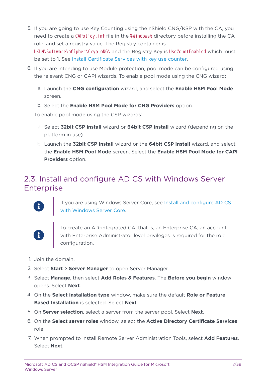- 5. If you are going to use Key Counting using the nShield CNG/KSP with the CA, you need to create a CAPolicy.inf file in the %Windows% directory before installing the CA role, and set a registry value. The Registry container is HKLM\Software\nCipher\CryptoNG\ and the Registry Key is UseCountEnabled which must be set to 1. See [Install Certificate Services with key use counter](#page-15-0).
- 6. If you are intending to use Module protection, pool mode can be configured using the relevant CNG or CAPI wizards. To enable pool mode using the CNG wizard:
	- a. Launch the **CNG configuration** wizard, and select the **Enable HSM Pool Mode** screen.
	- b. Select the **Enable HSM Pool Mode for CNG Providers** option.

To enable pool mode using the CSP wizards:

- a. Select **32bit CSP install** wizard or **64bit CSP install** wizard (depending on the platform in use).
- b. Launch the **32bit CSP install** wizard or the **64bit CSP install** wizard, and select the **Enable HSM Pool Mode** screen. Select the **Enable HSM Pool Mode for CAPI Providers** option.

# <span id="page-6-0"></span>2.3. Install and configure AD CS with Windows Server **Enterprise**

8

If you are using Windows Server Core, see [Install and configure AD CS](#page-9-0) [with Windows Server Core.](#page-9-0)



To create an AD-integrated CA, that is, an Enterprise CA, an account with Enterprise Administrator level privileges is required for the role configuration.

- 1. Join the domain.
- 2. Select **Start > Server Manager** to open Server Manager.
- 3. Select **Manage**, then select **Add Roles & Features**. The **Before you begin** window opens. Select **Next**.
- 4. On the **Select installation type** window, make sure the default **Role or Feature Based Installation** is selected. Select **Next**.
- 5. On **Server selection**, select a server from the server pool. Select **Next**.
- 6. On the **Select server roles** window, select the **Active Directory Certificate Services** role.
- 7. When prompted to install Remote Server Administration Tools, select **Add Features**. Select **Next**.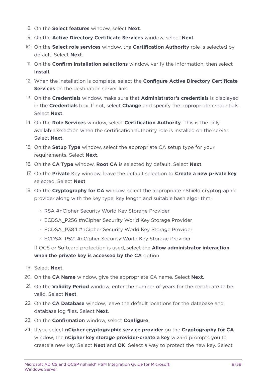- 8. On the **Select features** window, select **Next**.
- 9. On the **Active Directory Certificate Services** window, select **Next**.
- 10. On the **Select role services** window, the **Certification Authority** role is selected by default. Select **Next**.
- 11. On the **Confirm installation selections** window, verify the information, then select **Install**.
- 12. When the installation is complete, select the **Configure Active Directory Certificate Services** on the destination server link.
- 13. On the **Credentials** window, make sure that **Administrator's credentials** is displayed in the **Credentials** box. If not, select **Change** and specify the appropriate credentials. Select **Next**.
- 14. On the **Role Services** window, select **Certification Authority**. This is the only available selection when the certification authority role is installed on the server. Select **Next**.
- 15. On the **Setup Type** window, select the appropriate CA setup type for your requirements. Select **Next**.
- 16. On the **CA Type** window, **Root CA** is selected by default. Select **Next**.
- 17. On the **Private** Key window, leave the default selection to **Create a new private key** selected. Select **Next**.
- 18. On the **Cryptography for CA** window, select the appropriate nShield cryptographic provider along with the key type, key length and suitable hash algorithm:
	- RSA #nCipher Security World Key Storage Provider
	- ECDSA\_P256 #nCipher Security World Key Storage Provider
	- ECDSA\_P384 #nCipher Security World Key Storage Provider
	- ECDSA\_P521 #nCipher Security World Key Storage Provider

If OCS or Softcard protection is used, select the **Allow administrator interaction when the private key is accessed by the CA** option.

- 19. Select **Next**.
- 20. On the **CA Name** window, give the appropriate CA name. Select **Next**.
- 21. On the **Validity Period** window, enter the number of years for the certificate to be valid. Select **Next**.
- 22. On the **CA Database** window, leave the default locations for the database and database log files. Select **Next**.
- 23. On the **Confirmation** window, select **Configure**.
- 24. If you select **nCipher cryptographic service provider** on the **Cryptography for CA** window, the **nCipher key storage provider-create a key** wizard prompts you to create a new key. Select **Next** and **OK**. Select a way to protect the new key. Select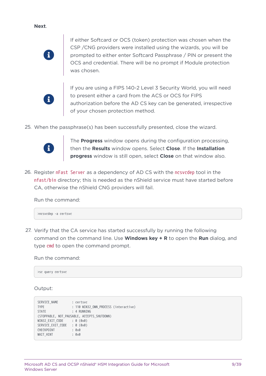**Next**.



If either Softcard or OCS (token) protection was chosen when the CSP /CNG providers were installed using the wizards, you will be prompted to either enter Softcard Passphrase / PIN or present the OCS and credential. There will be no prompt if Module protection was chosen.



If you are using a FIPS 140-2 Level 3 Security World, you will need to present either a card from the ACS or OCS for FIPS authorization before the AD CS key can be generated, irrespective of your chosen protection method.

25. When the passphrase(s) has been successfully presented, close the wizard.



The **Progress** window opens during the configuration processing, then the **Results** window opens. Select **Close**. If the **Installation progress** window is still open, select **Close** on that window also.

26. Register nFast Server as a dependency of AD CS with the ncsvcdep tool in the nfast/bin directory; this is needed as the nShield service must have started before CA, otherwise the nShield CNG providers will fail.

Run the command:

>ncsvcdep -a certsvc

27. Verify that the CA service has started successfully by running the following command on the command line. Use **Windows key + R** to open the **Run** dialog, and type cmd to open the command prompt.

Run the command:

>sc query certsvc

Output:

```
SERVICE_NAME : certsvc
TYPE : 110 WIN32 OWN PROCESS (interactive)
STATE : 4 RUNNING
(STOPPABLE, NOT_PAUSABLE, ACCEPTS_SHUTDOWN)
WIN32_EXIT_CODE : 0 (0x0)
SERVICE_EXIT_CODE : 0 (0x0)
CHECKPOINT : 0x0
WAIT HINT : 0x0
```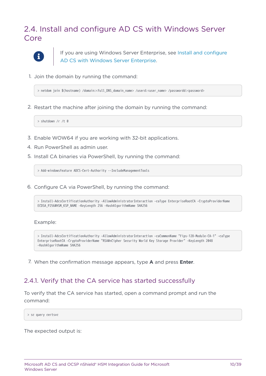# <span id="page-9-0"></span>2.4. Install and configure AD CS with Windows Server Core



If you are using Windows Server Enterprise, see [Install and configure](#page-6-0) [AD CS with Windows Server Enterprise](#page-6-0).

1. Join the domain by running the command:

> netdom join \$(hostname) /domain:<full\_DNS\_domain\_name> /userd:<user\_name> /passwordd:<password>

2. Restart the machine after joining the domain by running the command:

> shutdown /r /t 0

- 3. Enable WOW64 if you are working with 32-bit applications.
- 4. Run PowerShell as admin user.
- 5. Install CA binaries via PowerShell, by running the command:

> Add-windowsfeature ADCS-Cert-Authority --IncludeManagementTools

6. Configure CA via PowerShell, by running the command:

> Install-AdcsCertificationAuthority –AllowAdministratorInteraction –caType EnterpriseRootCA –CryptoProviderName ECDSA\_P256#HSM\_KSP\_NAME –KeyLength 256 –HashAlgorithmName SHA256

#### Example:

> Install-AdcsCertificationAuthority –AllowAdministratorInteraction –caCommonName "Fips-128-Module-CA-1" –caType EnterpriseRootCA –CryptoProviderName "RSA#nCipher Security World Key Storage Provider" –KeyLength 2048 –HashAlgorithmName SHA256

7. When the confirmation message appears, type **A** and press **Enter**.

### 2.4.1. Verify that the CA service has started successfully

To verify that the CA service has started, open a command prompt and run the command:

> sc query certsvc

The expected output is: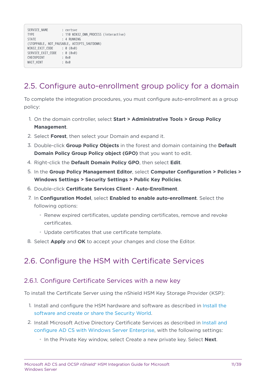| SERVICE NAME<br><b>TYPE</b><br><b>STATE</b>  | : certsvc<br>: 110 WIN32 OWN PROCESS (interactive)<br>: 4 RUNNING |
|----------------------------------------------|-------------------------------------------------------------------|
| WIN32 EXIT CODE                              | (STOPPABLE, NOT PAUSABLE, ACCEPTS SHUTDOWN)<br>: 0 (0x0)          |
| SERVICE EXIT CODE<br>CHECKPOINT<br>WAIT HINT | : 0 (0x0)<br>: 0x0<br>: 0x0                                       |

# <span id="page-10-0"></span>2.5. Configure auto-enrollment group policy for a domain

To complete the integration procedures, you must configure auto-enrollment as a group policy:

- 1. On the domain controller, select **Start > Administrative Tools > Group Policy Management**.
- 2. Select **Forest**, then select your Domain and expand it.
- 3. Double-click **Group Policy Objects** in the forest and domain containing the **Default Domain Policy Group Policy object (GPO)** that you want to edit.
- 4. Right-click the **Default Domain Policy GPO**, then select **Edit**.
- 5. In the **Group Policy Management Editor**, select **Computer Configuration > Policies > Windows Settings > Security Settings > Public Key Policies**.
- 6. Double-click **Certificate Services Client Auto-Enrollment**.
- 7. In **Configuration Model**, select **Enabled to enable auto-enrollment**. Select the following options:
	- Renew expired certificates, update pending certificates, remove and revoke certificates.
	- Update certificates that use certificate template.
- 8. Select **Apply** and **OK** to accept your changes and close the Editor.

# <span id="page-10-1"></span>2.6. Configure the HSM with Certificate Services

#### 2.6.1. Configure Certificate Services with a new key

To install the Certificate Server using the nShield HSM Key Storage Provider (KSP):

- 1. Install and configure the HSM hardware and software as described in [Install the](#page-5-2) [software and create or share the Security World](#page-5-2).
- 2. Install Microsoft Active Directory Certificate Services as described in [Install and](#page-6-0) [configure AD CS with Windows Server Enterprise,](#page-6-0) with the following settings:
	- In the Private Key window, select Create a new private key. Select **Next**.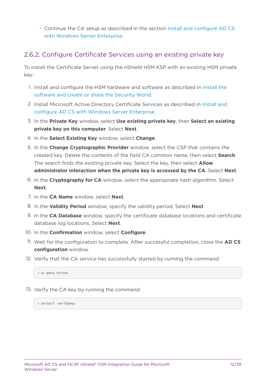◦ Continue the CA setup as described in the section [Install and configure AD CS](#page-6-0) [with Windows Server Enterprise](#page-6-0).

### 2.6.2. Configure Certificate Services using an existing private key

To install the Certificate Server using the nShield HSM KSP with an existing HSM private key:

- 1. Install and configure the HSM hardware and software as described in [Install the](#page-5-2) [software and create or share the Security World](#page-5-2).
- 2. Install Microsoft Active Directory Certificate Services as described in [Install and](#page-6-0) [configure AD CS with Windows Server Enterprise.](#page-6-0)
- 3. In the **Private Key** window, select **Use existing private key**, then **Select an existing private key on this computer**. Select **Next**.
- 4. In the **Select Existing Key** window, select **Change**.
- 5. In the **Change Cryptographic Provider** window, select the CSP that contains the created key. Delete the contents of the field CA common name, then select **Search**. The search finds the existing private key. Select the key, then select **Allow administrator interaction when the private key is accessed by the CA**. Select **Next**.
- 6. In the **Cryptography for CA** window, select the appropriate hash algorithm. Select **Next**.
- 7. In the **CA Name** window, select **Next**.
- 8. In the **Validity Period** window, specify the validity period. Select **Next**.
- 9. In the **CA Database** window, specify the certificate database locations and certificate database log locations. Select **Next**.
- 10. In the **Confirmation** window, select **Configure**.
- 11. Wait for the configuration to complete. After successful completion, close the **AD CS configuration** window.
- 12. Verify that the CA service has successfully started by running the command:

> sc query certsvc

13. Verify the CA key by running the command:

> certutil -verifykeys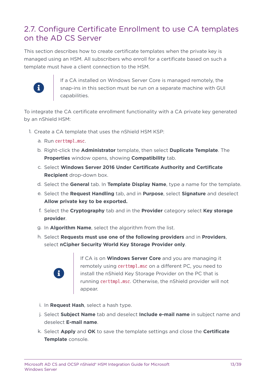# <span id="page-12-0"></span>2.7. Configure Certificate Enrollment to use CA templates on the AD CS Server

This section describes how to create certificate templates when the private key is managed using an HSM. All subscribers who enroll for a certificate based on such a template must have a client connection to the HSM.



If a CA installed on Windows Server Core is managed remotely, the snap-ins in this section must be run on a separate machine with GUI capabilities.

To integrate the CA certificate enrollment functionality with a CA private key generated by an nShield HSM:

- 1. Create a CA template that uses the nShield HSM KSP:
	- a. Run certtmpl.msc.
	- b. Right-click the **Administrator** template, then select **Duplicate Template**. The **Properties** window opens, showing **Compatibility** tab.
	- c. Select **Windows Server 2016 Under Certificate Authority and Certificate Recipient** drop-down box.
	- d. Select the **General** tab. In **Template Display Name**, type a name for the template.
	- e. Select the **Request Handling** tab, and in **Purpose**, select **Signature** and deselect **Allow private key to be exported.**
	- f. Select the **Cryptography** tab and in the **Provider** category select **Key storage provider**.
	- g. In **Algorithm Name**, select the algorithm from the list.
	- h. Select **Requests must use one of the following providers** and in **Providers**, select **nCipher Security World Key Storage Provider only**.



If CA is on **Windows Server Core** and you are managing it remotely using certtmpl.msc on a different PC, you need to install the nShield Key Storage Provider on the PC that is running certtmpl.msc. Otherwise, the nShield provider will not appear.

- i. In **Request Hash**, select a hash type.
- j. Select **Subject Name** tab and deselect **Include e-mail name** in subject name and deselect **E-mail name**.
- k. Select **Apply** and **OK** to save the template settings and close the **Certificate Template** console.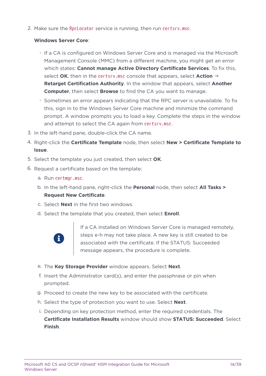2. Make sure the RpcLocator service is running, then run certsrv.msc.

#### **Windows Server Core**:

- If a CA is configured on Windows Server Core and is managed via the Microsoft Management Console (MMC) from a different machine, you might get an error which states: **Cannot manage Active Directory Certificate Services**. To fix this, select **OK**, then in the certsrv.msc console that appears, select **Action** → **Retarget Certification Authority**. In the window that appears, select **Another Computer**, then select **Browse** to find the CA you want to manage.
- Sometimes an error appears indicating that the RPC server is unavailable. To fix this, sign in to the Windows Server Core machine and minimize the command prompt. A window prompts you to load a key. Complete the steps in the window and attempt to select the CA again from certsrv.msc.
- 3. In the left-hand pane, double-click the CA name.
- 4. Right-click the **Certificate Template** node, then select **New > Certificate Template to Issue**.
- 5. Select the template you just created, then select **OK**.
- 6. Request a certificate based on the template:
	- a. Run certmgr.msc.
	- b. In the left-hand pane, right-click the **Personal** node, then select **All Tasks > Request New Certificate**.
	- c. Select **Next** in the first two windows.
	- d. Select the template that you created, then select **Enroll**.



If a CA installed on Windows Server Core is managed remotely, steps e-h may not take place. A new key is still created to be associated with the certificate. If the STATUS: Succeeded message appears, the procedure is complete.

- e. The **Key Storage Provider** window appears. Select **Next**.
- f. Insert the Administrator card(s), and enter the passphrase or pin when prompted.
- g. Proceed to create the new key to be associated with the certificate.
- h. Select the type of protection you want to use. Select **Next**.
- i. Depending on key protection method, enter the required credentials. The **Certificate Installation Results** window should show **STATUS: Succeeded**. Select **Finish**.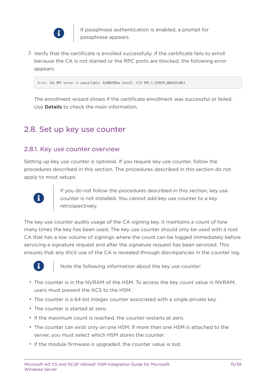

If passphrase authentication is enabled, a prompt for passphrase appears.

7. Verify that the certificate is enrolled successfully. If the certificate fails to enroll because the CA is not started or the RPC ports are blocked, the following error appears:

Error: the RPC server is unavailable. 0x800706ba (win32: 1722 RPC\_S\_SERVER\_UNAVAILABLE

The enrollment wizard shows if the certificate enrollment was successful or failed. Use **Details** to check the main information.

### <span id="page-14-0"></span>2.8. Set up key use counter

#### 2.8.1. Key use counter overview

Setting up key use counter is optional. If you require key use counter, follow the procedures described in this section. The procedures described in this section do not apply to most setups.



If you do not follow the procedures described in this section, key use counter is not installed. You cannot add key use counter to a key retrospectively.

The key use counter audits usage of the CA signing key. It maintains a count of how many times the key has been used. The key use counter should only be used with a root CA that has a low volume of signings where the count can be logged immediately before servicing a signature request and after the signature request has been serviced. This ensures that any illicit use of the CA is revealed through discrepancies in the counter log.



Note the following information about the key use counter:

- The counter is in the NVRAM of the HSM. To access the key count value in NVRAM, users must present the ACS to the HSM.
- The counter is a 64-bit integer counter associated with a single private key.
- The counter is started at zero.
- If the maximum count is reached, the counter restarts at zero.
- The counter can exist only on one HSM. If more than one HSM is attached to the server, you must select which HSM stores the counter.
- If the module firmware is upgraded, the counter value is lost.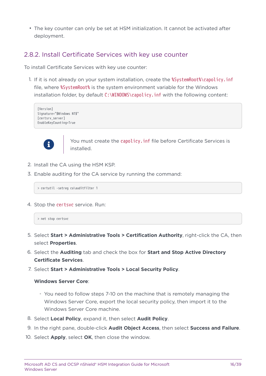• The key counter can only be set at HSM initialization. It cannot be activated after deployment.

### <span id="page-15-0"></span>2.8.2. Install Certificate Services with key use counter

To install Certificate Services with key use counter:

1. If it is not already on your system installation, create the %SystemRoot%\capolicy.inf file, where %SystemRoot% is the system environment variable for the Windows installation folder, by default  $C:\WINDOWS\cap Di$  inf with the following content:

[Version] Signature="\$Windows NT\$" [certsrv\_server] EnableKeyCounting=True



You must create the capolicy. inf file before Certificate Services is installed.

- 2. Install the CA using the HSM KSP.
- 3. Enable auditing for the CA service by running the command:

> certutil -setreg ca\auditfilter 1

4. Stop the certsvc service. Run:

```
> net stop certsvc
```
- 5. Select **Start > Administrative Tools > Certification Authority**, right-click the CA, then select **Properties**.
- 6. Select the **Auditing** tab and check the box for **Start and Stop Active Directory Certificate Services**.
- 7. Select **Start > Administrative Tools > Local Security Policy**.

#### **Windows Server Core**:

- You need to follow steps 7-10 on the machine that is remotely managing the Windows Server Core, export the local security policy, then import it to the Windows Server Core machine.
- 8. Select **Local Policy**, expand it, then select **Audit Policy**.
- 9. In the right pane, double-click **Audit Object Access**, then select **Success and Failure**.
- 10. Select **Apply**, select **OK**, then close the window.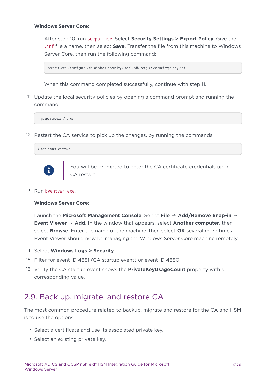#### **Windows Server Core**:

◦ After step 10, run secpol.msc. Select **Security Settings > Export Policy**. Give the .inf file a name, then select **Save**. Transfer the file from this machine to Windows Server Core, then run the following command:

secedit.exe /configure /db Windows\security\local.sdb /cfg C:\securitypolicy.inf

When this command completed successfully, continue with step 11.

11. Update the local security policies by opening a command prompt and running the command:

> gpupdate.exe /force

12. Restart the CA service to pick up the changes, by running the commands:





You will be prompted to enter the CA certificate credentials upon CA restart.

13. Run Eventvwr.exe.

#### **Windows Server Core**:

Launch the **Microsoft Management Console**. Select **File** → **Add/Remove Snap-in** → **Event Viewer** → **Add**. In the window that appears, select **Another computer**, then select **Browse**. Enter the name of the machine, then select **OK** several more times. Event Viewer should now be managing the Windows Server Core machine remotely.

- 14. Select **Windows Logs > Security**.
- 15. Filter for event ID 4881 (CA startup event) or event ID 4880.
- 16. Verify the CA startup event shows the **PrivateKeyUsageCount** property with a corresponding value.

### <span id="page-16-0"></span>2.9. Back up, migrate, and restore CA

The most common procedure related to backup, migrate and restore for the CA and HSM is to use the options:

- Select a certificate and use its associated private key.
- Select an existing private key.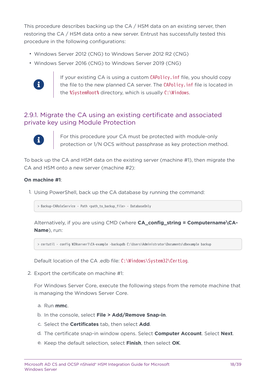This procedure describes backing up the CA / HSM data on an existing server, then restoring the CA / HSM data onto a new server. Entrust has successfully tested this procedure in the following configurations:

- Windows Server 2012 (CNG) to Windows Server 2012 R2 (CNG)
- Windows Server 2016 (CNG) to Windows Server 2019 (CNG)



If your existing CA is using a custom CAPolicy.inf file, you should copy the file to the new planned CA server. The CAPolicy.inf file is located in the %SystemRoot% directory, which is usually C:\Windows.

### 2.9.1. Migrate the CA using an existing certificate and associated private key using Module Protection



For this procedure your CA must be protected with module-only protection or 1/N OCS without passphrase as key protection method.

To back up the CA and HSM data on the existing server (machine #1), then migrate the CA and HSM onto a new server (machine #2):

#### **On machine #1**:

1. Using PowerShell, back up the CA database by running the command:

> Backup-CARoleService - Path <path\_to\_backup\_file> - DatabaseOnly

Alternatively, if you are using CMD (where **CA config string = Computername\CA-Name**), run:

> certutil - config WINserver1\CA-example -backupdb C:\Users\Administrator\Documents\dbexample backup

Default location of the CA .edb file: C:\Windows\System32\CertLog.

2. Export the certificate on machine #1:

For Windows Server Core, execute the following steps from the remote machine that is managing the Windows Server Core.

- a. Run **mmc**.
- b. In the console, select **File > Add/Remove Snap-in**.
- c. Select the **Certificates** tab, then select **Add**.
- d. The certificate snap-in window opens. Select **Computer Account**. Select **Next**.
- e. Keep the default selection, select **Finish**, then select **OK**.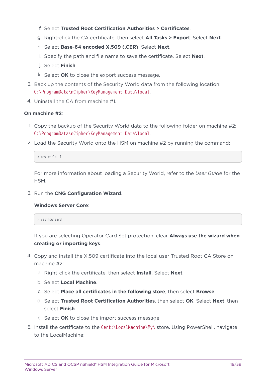- f. Select **Trusted Root Certification Authorities > Certificates**.
- g. Right-click the CA certificate, then select **All Tasks > Export**. Select **Next**.
- h. Select **Base-64 encoded X.509 (.CER)**. Select **Next**.
- i. Specify the path and file name to save the certificate. Select **Next**.
- j. Select **Finish**.
- k. Select **OK** to close the export success message.
- 3. Back up the contents of the Security World data from the following location: C:\ProgramData\nCipher\KeyManagement Data\local.
- 4. Uninstall the CA from machine #1.

#### **On machine #2**:

- 1. Copy the backup of the Security World data to the following folder on machine #2: C:\ProgramData\nCipher\KeyManagement Data\local.
- 2. Load the Security World onto the HSM on machine #2 by running the command:

```
> new-world -l
```
For more information about loading a Security World, refer to the *User Guide* for the HSM.

3. Run the **CNG Configuration Wizard**.

#### **Windows Server Core**:

> capingwizard

If you are selecting Operator Card Set protection, clear **Always use the wizard when creating or importing keys**.

- 4. Copy and install the X.509 certificate into the local user Trusted Root CA Store on machine #2:
	- a. Right-click the certificate, then select **Install**. Select **Next**.
	- b. Select **Local Machine**.
	- c. Select **Place all certificates in the following store**, then select **Browse**.
	- d. Select **Trusted Root Certification Authorities**, then select **OK**. Select **Next**, then select **Finish**.
	- e. Select **OK** to close the import success message.
- 5. Install the certificate to the Cert:\LocalMachine\My\ store. Using PowerShell, navigate to the LocalMachine: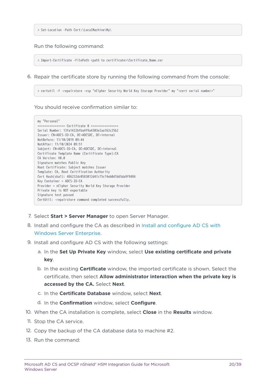> Set-Location -Path Cert:\LocalMachine\My\

#### Run the following command:

> Import-Certificate -FilePath <path to certificate>\Certificate\_Name.cer

6. Repair the certificate store by running the following command from the console:

> certutil -f -repairstore -csp "nCipher Security World Key Storage Provider" my "<cert serial number>"

You should receive confirmation similar to:

```
my "Personal"
================ Certificate 0 ================
Serial Number: 13fa1422bfba4f9a4303e2aa162c25b2
Issuer: CN=ADCS-IO-CA, DC=ADCSDC, DC=internal
NotBefore: 11/10/2019 09:44
NotAfter: 11/10/2024 09:51
Subject: CN=ADCS-IO-CA, DC=ADCSDC, DC=internal
Certificate Template Name (Certificate Type):CA
CA Version: V0.0
Signature matches Public Key
Root Certificate: Subject matches Issuer
Template: CA, Root Certification Authority
Cert Hash(sha1): 486232dc0583012d47c75c74eb0d1b65da9f9484
Key Container = ADCS-IO-CA
Provider = nCipher Security World Key Storage Provider
Private key is NOT exportable
Signature test passed
CertUtil: -repairstore command completed successfully.
```
- 7. Select **Start > Server Manager** to open Server Manager.
- 8. Install and configure the CA as described in [Install and configure AD CS with](#page-6-0) [Windows Server Enterprise.](#page-6-0)
- 9. Install and configure AD CS with the following settings:
	- a. In the **Set Up Private Key** window, select **Use existing certificate and private key**.
	- b. In the existing **Certificate** window, the imported certificate is shown. Select the certificate, then select **Allow administrator interaction when the private key is accessed by the CA.** Select **Next**.
	- c. In the **Certificate Database** window, select **Next**.
	- d. In the **Confirmation** window, select **Configure**.
- 10. When the CA installation is complete, select **Close** in the **Results** window.
- 11. Stop the CA service.
- 12. Copy the backup of the CA database data to machine #2.
- 13. Run the command: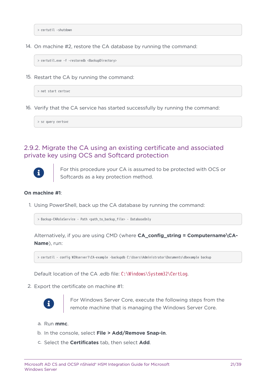> certutil -shutdown

14. On machine #2, restore the CA database by running the command:

> certutil.exe -f -restoredb <BackupDirectory>

15. Restart the CA by running the command:

> net start certsvc

16. Verify that the CA service has started successfully by running the command:

> sc query certsvc

### 2.9.2. Migrate the CA using an existing certificate and associated private key using OCS and Softcard protection



For this procedure your CA is assumed to be protected with OCS or Softcards as a key protection method.

#### **On machine #1**:

1. Using PowerShell, back up the CA database by running the command:

> Backup-CARoleService - Path <path\_to\_backup\_file> - DatabaseOnly

Alternatively, if you are using CMD (where **CA\_config\_string = Computername\CA-Name**), run:

> certutil - config WINserver1\CA-example -backupdb C:\Users\Administrator\Documents\dbexample backup

Default location of the CA .edb file: C:\Windows\System32\CertLog.

2. Export the certificate on machine #1:



For Windows Server Core, execute the following steps from the remote machine that is managing the Windows Server Core.

- a. Run **mmc**.
- b. In the console, select **File > Add/Remove Snap-in**.
- c. Select the **Certificates** tab, then select **Add**.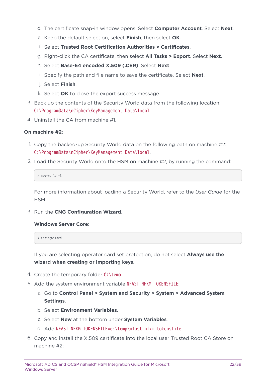- d. The certificate snap-in window opens. Select **Computer Account**. Select **Next**.
- e. Keep the default selection, select **Finish**, then select **OK**.
- f. Select **Trusted Root Certification Authorities > Certificates**.
- g. Right-click the CA certificate, then select **All Tasks > Export**. Select **Next**.
- h. Select **Base-64 encoded X.509 (.CER)**. Select **Next**.
- i. Specify the path and file name to save the certificate. Select **Next**.
- j. Select **Finish**.
- k. Select **OK** to close the export success message.
- 3. Back up the contents of the Security World data from the following location: C:\ProgramData\nCipher\KeyManagement Data\local.
- 4. Uninstall the CA from machine #1.

#### **On machine #2**:

- 1. Copy the backed-up Security World data on the following path on machine #2: C:\ProgramData\nCipher\KeyManagement Data\local.
- 2. Load the Security World onto the HSM on machine #2, by running the command:

> new-world -l

For more information about loading a Security World, refer to the *User Guide* for the HSM.

3. Run the **CNG Configuration Wizard**.

#### **Windows Server Core**:

> capingwizard

If you are selecting operator card set protection, do not select **Always use the wizard when creating or importing keys**.

- 4. Create the temporary folder C:\temp.
- 5. Add the system environment variable NFAST\_NFKM\_TOKENSFILE:
	- a. Go to **Control Panel > System and Security > System > Advanced System Settings**.
	- b. Select **Environment Variables**.
	- c. Select **New** at the bottom under **System Variables**.
	- d. Add NFAST\_NFKM\_TOKENSFILE=c:\temp\nfast\_nfkm\_tokensfile.
- 6. Copy and install the X.509 certificate into the local user Trusted Root CA Store on machine #2: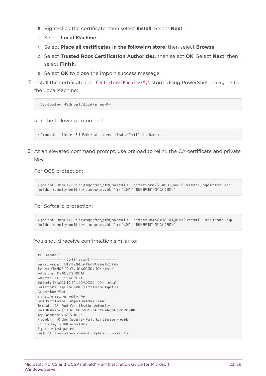- a. Right-click the certificate, then select **Install**. Select **Next**.
- b. Select **Local Machine**.
- c. Select **Place all certificates in the following store**, then select **Browse**.
- d. Select **Trusted Root Certification Authorities**, then select **OK**. Select **Next**, then select **Finish**.
- e. Select **OK** to close the import success message.
- 7. Install the certificate into Cert:\LocalMachine\My\ store. Using PowerShell, navigate to the LocalMachine:

> Set-Location -Path Cert:\LocalMachine\My\

Run the following command:

> Import-Certificate -FilePath <path to certificate>\Certificate\_Name.cer

8. At an elevated command prompt, use preload to relink the CA certificate and private key.

#### For OCS protection:

> preload --module=1 -f c:\temp\nfast\_nfkm\_tokensfile --cardset-name="<CARDSET\_NAME>" certutil -repairstore -csp "ncipher security world key storage provider" my "<SHA-1\_THUMBPRINT\_OF\_CA\_CERT>"

#### For Softcard protection:

> preload --module=1 -f c:\temp\nfast\_nfkm\_tokensfile --softcard-name="<CARDSET\_NAME>" certutil -repairstore -csp "ncipher security world key storage provider" my "<SHA-1\_THUMBPRINT\_OF\_CA\_CERT>"

You should receive confirmation similar to:

```
my "Personal"
================ Certificate 0 ================
Serial Number: 13fa1422bfba4f9a4303e2aa162c25b2
Issuer: CN=ADCS-IO-CA, DC=ADCSDC, DC=internal
NotBefore: 11/10/2019 09:44
NotAfter: 11/10/2024 09:51
Subject: CN=ADCS-IO-CA, DC=ADCSDC, DC=internal
Certificate Template Name (Certificate Type):CA
CA Version: V0.0
Signature matches Public Key
Root Certificate: Subject matches Issuer
Template: CA, Root Certification Authority
Cert Hash(sha1): 486232dc0583012d47c75c74eb0d1b65da9f9484
Key Container = ADCS-IO-CA
Provider = nCipher Security World Key Storage Provider
Private key is NOT exportable
Signature test passed
CertUtil: -repairstore command completed successfully.
```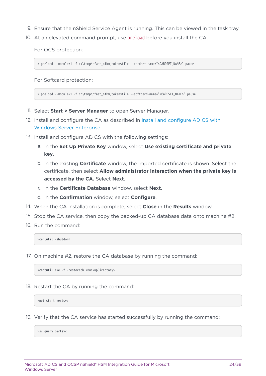- 9. Ensure that the nShield Service Agent is running. This can be viewed in the task tray.
- 10. At an elevated command prompt, use preload before you install the CA.

For OCS protection:

> preload --module=1 -f c:\temp\nfast\_nfkm\_tokensfile --cardset-name="<CARDSET\_NAME>" pause

For Softcard protection:

> preload --module=1 -f c:\temp\nfast\_nfkm\_tokensfile --softcard-name="<CARDSET\_NAME>" pause

- 11. Select **Start > Server Manager** to open Server Manager.
- 12. Install and configure the CA as described in [Install and configure AD CS with](#page-6-0) [Windows Server Enterprise.](#page-6-0)
- 13. Install and configure AD CS with the following settings:
	- a. In the **Set Up Private Key** window, select **Use existing certificate and private key**.
	- b. In the existing **Certificate** window, the imported certificate is shown. Select the certificate, then select **Allow administrator interaction when the private key is accessed by the CA.** Select **Next**.
	- c. In the **Certificate Database** window, select **Next**.
	- d. In the **Confirmation** window, select **Configure**.
- 14. When the CA installation is complete, select **Close** in the **Results** window.
- 15. Stop the CA service, then copy the backed-up CA database data onto machine #2.
- 16. Run the command:

>certutil -shutdown

17. On machine #2, restore the CA database by running the command:

>certutil.exe -f -restoredb <BackupDirectory>

18. Restart the CA by running the command:

>net start certsvc

19. Verify that the CA service has started successfully by running the command:

>sc query certsvc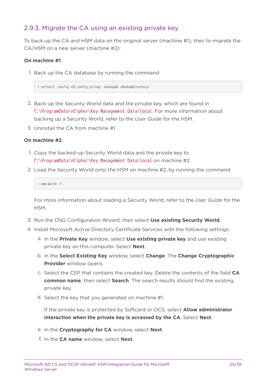### 2.9.3. Migrate the CA using an existing private key

To back up the CA and HSM data on the original server (machine #1), then to migrate the CA/HSM on a new server (machine #2):

#### **On machine #1**:

1. Back up the CA database by running the command:

> certutil -config <CA\_config\_string> -backupdb <BackupDirectory>

- 2. Back up the Security World data and the private key, which are found in C:\ProgramData\nCipher\Key Management Data\local. For more information about backing up a Security World, refer to the *User Guide* for the HSM.
- 3. Uninstall the CA from machine #1.

#### **On machine #2**:

- 1. Copy the backed-up Security World data and the private key to C:\ProgramData\nCipher\Key Management Data\local on machine #2.
- 2. Load the Security World onto the HSM on machine #2, by running the command:

> new-world -l

For more information about loading a Security World, refer to the *User Guide* for the HSM.

- 3. Run the CNG Configuration Wizard, then select **Use existing Security World**.
- 4. Install Microsoft Active Directory Certificate Services with the following settings:
	- a. In the **Private Key** window, select **Use existing private key** and use existing private key on this computer. Select **Next**.
	- b. In the **Select Existing Key** window, select **Change**. The **Change Cryptographic Provider** window opens.
	- c. Select the CSP that contains the created key. Delete the contents of the field **CA common name**, then select **Search**. The search results should find the existing private key.
	- d. Select the key that you generated on machine #1.

If the private key is protected by Softcard or OCS, select **Allow administrator interaction when the private key is accessed by the CA**. Select **Next**.

- e. In the **Cryptography for CA** window, select **Next**.
- f. In the **CA name** window, select **Next**.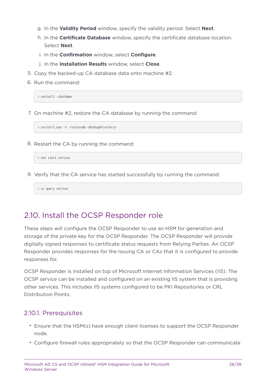- g. In the **Validity Period** window, specify the validity period. Select **Next**.
- h. In the **Certificate Database** window, specify the certificate database location. Select **Next**.
- i. In the **Confirmation** window, select **Configure**.
- j. In the **Installation Results** window, select **Close**.
- 5. Copy the backed-up CA database data onto machine #2.
- 6. Run the command:

> certutil -shutdown

7. On machine #2, restore the CA database by running the command:

> certutil.exe -f -restoredb <BackupDirectory>

8. Restart the CA by running the command:

> net start certsvc

9. Verify that the CA service has started successfully by running the command:

> sc query certsvc

# <span id="page-25-0"></span>2.10. Install the OCSP Responder role

These steps will configure the OCSP Responder to use an HSM for generation and storage of the private key for the OCSP Responder. The OCSP Responder will provide digitally signed responses to certificate status requests from Relying Parties. An OCSP Responder provides responses for the Issuing CA or CAs that it is configured to provide responses for.

OCSP Responder is installed on top of Microsoft Internet Information Services (IIS). The OCSP service can be installed and configured on an existing IIS system that is providing other services. This includes IIS systems configured to be PKI Repositories or CRL Distribution Points.

### 2.10.1. Prerequisites

- Ensure that the HSM(s) have enough client licenses to support the OCSP Responder node.
- Configure firewall rules appropriately so that the OCSP Responder can communicate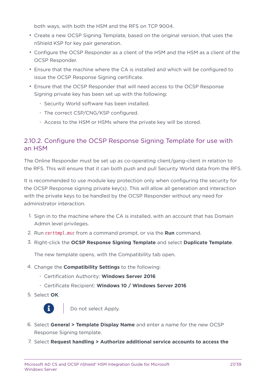both ways, with both the HSM and the RFS on TCP 9004.

- Create a new OCSP Signing Template, based on the original version, that uses the nShield KSP for key pair generation.
- Configure the OCSP Responder as a client of the HSM and the HSM as a client of the OCSP Responder.
- Ensure that the machine where the CA is installed and which will be configured to issue the OCSP Response Signing certificate.
- Ensure that the OCSP Responder that will need access to the OCSP Response Signing private key has been set up with the following:
	- Security World software has been installed.
	- The correct CSP/CNG/KSP configured.
	- Access to the HSM or HSMs where the private key will be stored.

### 2.10.2. Configure the OCSP Response Signing Template for use with an HSM

The Online Responder must be set up as co-operating client/gang-client in relation to the RFS. This will ensure that it can both push and pull Security World data from the RFS.

It is recommended to use module key protection only when configuring the security for the OCSP Response signing private key(s). This will allow all generation and interaction with the private keys to be handled by the OCSP Responder without any need for administrator interaction.

- 1. Sign in to the machine where the CA is installed, with an account that has Domain Admin level privileges.
- 2. Run certtmpl.msc from a command prompt, or via the **Run** command.
- 3. Right-click the **OCSP Response Signing Template** and select **Duplicate Template**.

The new template opens, with the Compatibility tab open.

- 4. Change the **Compatibility Settings** to the following:
	- Certification Authority: **Windows Server 2016**
	- Certificate Recipient: **Windows 10 / Windows Server 2016**
- 5. Select **OK**.



Do not select Apply.

- 6. Select **General > Template Display Name** and enter a name for the new OCSP Response Signing template.
- 7. Select **Request handling > Authorize additional service accounts to access the**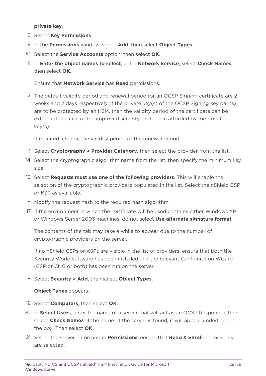**private key**.

- 8. Select **Key Permissions**.
- 9. In the **Permissions** window, select **Add**, then select **Object Types**.
- 10. Select the **Service Accounts** option, then select **OK**.
- 11. In **Enter the object names to select**, enter **Network Service**, select **Check Names**, then select **OK**.

Ensure that **Network Service** has **Read** permissions.

12. The default validity period and renewal period for an OCSP Signing certificate are 2 weeks and 2 days respectively. If the private key(s) of the OCSP Signing key pair(s) are to be protected by an HSM, then the validity period of the certificate can be extended because of the improved security protection afforded by the private key(s).

If required, change the validity period or the renewal period.

- 13. Select **Cryptography > Provider Category**, then select the provider from the list.
- 14. Select the cryptographic algorithm name from the list, then specify the minimum key size.
- 15. Select **Requests must use one of the following providers**. This will enable the selection of the cryptographic providers populated in the list. Select the nShield CSP or KSP as available.
- 16. Modify the request hash to the required hash algorithm.
- 17. If the environment in which the certificate will be used contains either Windows XP or Windows Server 2003 machines, do not select **Use alternate signature format**.

The contents of the tab may take a while to appear due to the number of cryptographic providers on the server.

If no nShield CSPs or KSPs are visible in the list of providers, ensure that both the Security World software has been installed and the relevant Configuration Wizard (CSP or CNG or both) has been run on the server.

18. Select **Security > Add**, then select **Object Types**.

#### **Object Types** appears.

- 19. Select **Computers**, then select **OK**.
- 20. In **Select Users**, enter the name of a server that will act as an OCSP Responder, then select **Check Names**. If the name of the server is found, it will appear underlined in the box. Then select **OK**.
- 21. Select the server name and in **Permissions**, ensure that **Read & Enroll** permissions are selected.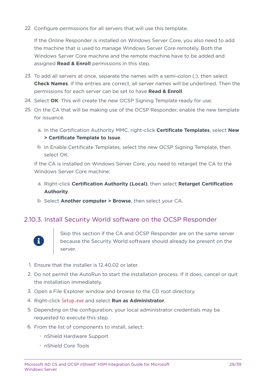22. Configure permissions for all servers that will use this template.

If the Online Responder is installed on Windows Server Core, you also need to add the machine that is used to manage Windows Server Core remotely. Both the Windows Server Core machine and the remote machine have to be added and assigned **Read & Enroll** permissions in this step.

- 23. To add all servers at once, separate the names with a semi-colon (;), then select **Check Names**. If the entries are correct, all server names will be underlined. Then the permissions for each server can be set to have **Read & Enroll**.
- 24. Select **OK**. This will create the new OCSP Signing Template ready for use.
- 25. On the CA that will be making use of the OCSP Responder, enable the new template for issuance.
	- a. In the Certification Authority MMC, right-click **Certificate Templates**, select **New > Certificate Template to Issue**.
	- b. In Enable Certificate Templates, select the new OCSP Signing Template, then select OK.

If the CA is installed on Windows Server Core, you need to retarget the CA to the Windows Server Core machine:

- a. Right-click **Certification Authority (Local)**, then select **Retarget Certification Authority**.
- b. Select **Another computer > Browse**, then select your CA.

### 2.10.3. Install Security World software on the OCSP Responder



Skip this section if the CA and OCSP Responder are on the same server because the Security World software should already be present on the server.

- 1. Ensure that the installer is 12.40.02 or later.
- 2. Do not permit the AutoRun to start the installation process. If it does, cancel or quit the installation immediately.
- 3. Open a File Explorer window and browse to the CD root directory.
- 4. Right-click Setup.exe and select **Run as Administrator**.
- 5. Depending on the configuration, your local administrator credentials may be requested to execute this step.
- 6. From the list of components to install, select:
	- nShield Hardware Support
	- nShield Core Tools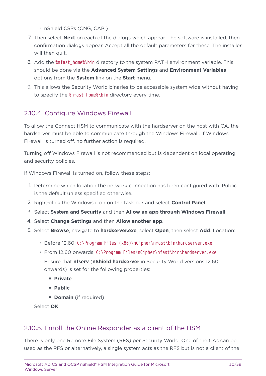- nShield CSPs (CNG, CAPI)
- 7. Then select **Next** on each of the dialogs which appear. The software is installed, then confirmation dialogs appear. Accept all the default parameters for these. The installer will then quit.
- 8. Add the %nfast\_home%\bin directory to the system PATH environment variable. This should be done via the **Advanced System Settings** and **Environment Variables** options from the **System** link on the **Start** menu.
- 9. This allows the Security World binaries to be accessible system wide without having to specify the %nfast\_home%\bin directory every time.

### 2.10.4. Configure Windows Firewall

To allow the Connect HSM to communicate with the hardserver on the host with CA, the hardserver must be able to communicate through the Windows Firewall. If Windows Firewall is turned off, no further action is required.

Turning off Windows Firewall is not recommended but is dependent on local operating and security policies.

If Windows Firewall is turned on, follow these steps:

- 1. Determine which location the network connection has been configured with. Public is the default unless specified otherwise.
- 2. Right-click the Windows icon on the task bar and select **Control Panel**.
- 3. Select **System and Security** and then **Allow an app through Windows Firewall**.
- 4. Select **Change Settings** and then **Allow another app**.
- 5. Select **Browse**, navigate to **hardserver.exe**, select **Open**, then select **Add**. Location:
	- Before 12.60: C:\Program Files (x86)\nCipher\nfast\bin\hardserver.exe
	- From 12.60 onwards: C:\Program Files\nCipher\nfast\bin\hardserver.exe
	- Ensure that **nfserv** (**nShield hardserver** in Security World versions 12.60 onwards) is set for the following properties:
		- **Private**
		- **Public**
		- **Domain** (if required)

Select **OK**.

### 2.10.5. Enroll the Online Responder as a client of the HSM

There is only one Remote File System (RFS) per Security World. One of the CAs can be used as the RFS or alternatively, a single system acts as the RFS but is not a client of the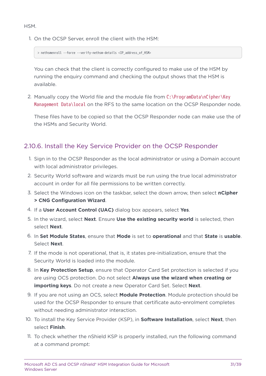1. On the OCSP Server, enroll the client with the HSM:

> nethsmenroll --force --verify-nethsm-details <IP\_address\_of\_HSM>

You can check that the client is correctly configured to make use of the HSM by running the enquiry command and checking the output shows that the HSM is available.

2. Manually copy the World file and the module file from C:\ProgramData\nCipher\Key Management Data\local on the RFS to the same location on the OCSP Responder node.

These files have to be copied so that the OCSP Responder node can make use the of the HSMs and Security World.

### 2.10.6. Install the Key Service Provider on the OCSP Responder

- 1. Sign in to the OCSP Responder as the local administrator or using a Domain account with local administrator privileges.
- 2. Security World software and wizards must be run using the true local administrator account in order for all file permissions to be written correctly.
- 3. Select the Windows icon on the taskbar, select the down arrow, then select **nCipher > CNG Configuration Wizard**.
- 4. If a **User Account Control (UAC)** dialog box appears, select **Yes**.
- 5. In the wizard, select **Next**. Ensure **Use the existing security world** is selected, then select **Next**.
- 6. In **Set Module States**, ensure that **Mode** is set to **operational** and that **State** is **usable**. Select **Next**.
- 7. If the mode is not operational, that is, it states pre-initialization, ensure that the Security World is loaded into the module.
- 8. In **Key Protection Setup**, ensure that Operator Card Set protection is selected if you are using OCS protection. Do not select **Always use the wizard when creating or importing keys**. Do not create a new Operator Card Set. Select **Next**.
- 9. If you are not using an OCS, select **Module Protection**. Module protection should be used for the OCSP Responder to ensure that certificate auto-enrolment completes without needing administrator interaction.
- 10. To install the Key Service Provider (KSP), in **Software Installation**, select **Next**, then select **Finish**.
- 11. To check whether the nShield KSP is properly installed, run the following command at a command prompt: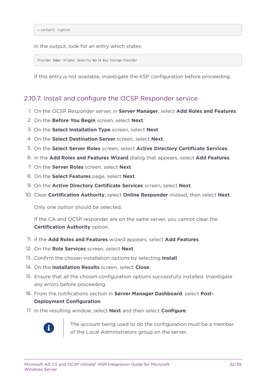In the output, look for an entry which states:

Provider Name: nCipher Security World Key Storage Provider

If this entry is not available, investigate the KSP configuration before proceeding.

### 2.10.7. Install and configure the OCSP Responder service

- 1. On the OCSP Responder server, in **Server Manager**, select **Add Roles and Features**.
- 2. On the **Before You Begin** screen, select **Next**.
- 3. On the **Select Installation Type** screen, select **Next**.
- 4. On the **Select Destination Server** screen, select **Next**.
- 5. On the **Select Server Roles** screen, select **Active Directory Certificate Services**.
- 6. In the **Add Roles and Features Wizard** dialog that appears, select **Add Features**.
- 7. On the **Server Roles** screen, select **Next**.
- 8. On the **Select Features** page, select **Next**.
- 9. On the **Active Directory Certificate Services** screen, select **Next**.
- 10. Clear **Certification Authority**, select **Online Responder** instead, then select **Next**.

Only one option should be selected.

If the CA and OCSP responder are on the same server, you cannot clear the **Certification Authority** option.

- 11. If the **Add Roles and Features** wizard appears, select **Add Features**.
- 12. On the **Role Services** screen, select **Next**.
- 13. Confirm the chosen installation options by selecting **Install**.
- 14. On the **Installation Results** screen, select **Close**.
- 15. Ensure that all the chosen configuration options successfully installed. Investigate any errors before proceeding.
- 16. From the notifications section in **Server Manager Dashboard**, select **Post-Deployment Configuration**.
- 17. In the resulting window, select **Next** and then select **Configure**.



The account being used to do the configuration must be a member of the Local Administrators group on the server.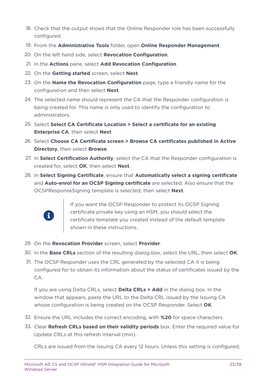- 18. Check that the output shows that the Online Responder role has been successfully configured.
- 19. From the **Administrative Tools** folder, open **Online Responder Management**.
- 20. On the left hand side, select **Revocation Configuration**.
- 21. In the **Actions** pane, select **Add Revocation Configuration**.
- 22. On the **Getting started** screen, select **Next**.
- 23. On the **Name the Revocation Configuration** page, type a friendly name for the configuration and then select **Next**.
- 24. The selected name should represent the CA that the Responder configuration is being created for. This name is only used to identify the configuration to administrators.
- 25. Select **Select CA Certificate Location > Select a certificate for an existing Enterprise CA**, then select **Next**.
- 26. Select **Choose CA Certificate screen > Browse CA certificates published in Active Directory**, then select **Browse**.
- 27. In **Select Certification Authority**, select the CA that the Responder configuration is created for, select **OK**, then select **Next**.
- 28. In **Select Signing Certificate**, ensure that **Automatically select a signing certificate** and **Auto-enrol for an OCSP Signing certificate** are selected. Also ensure that the OCSPResponseSigning template is selected, then select **Next**.



If you want the OCSP Responder to protect its OCSP Signing certificate private key using an HSM, you should select the certificate template you created instead of the default template shown in these instructions.

- 29. On the **Revocation Provider** screen, select **Provider**.
- 30. In the **Base CRLs** section of the resulting dialog box, select the URL, then select **OK**.
- 31. The OCSP Responder uses the CRL generated by the selected CA it is being configured for to obtain its information about the status of certificates issued by the CA.

If you are using Delta CRLs, select **Delta CRLs > Add** in the dialog box. In the window that appears, paste the URL to the Delta CRL issued by the Issuing CA whose configuration is being created on the OCSP Responder. Select **OK**.

- 32. Ensure the URL includes the correct encoding, with **%20** for space characters.
- 33. Clear **Refresh CRLs based on their validity periods** box. Enter the required value for Update CRLs at this refresh interval (min).

CRLs are issued from the Issuing CA every 12 hours. Unless this setting is configured,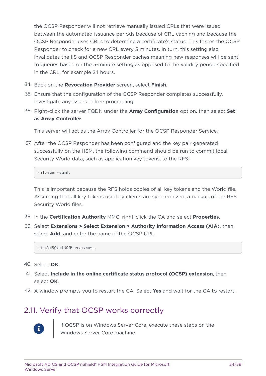the OCSP Responder will not retrieve manually issued CRLs that were issued between the automated issuance periods because of CRL caching and because the OCSP Responder uses CRLs to determine a certificate's status. This forces the OCSP Responder to check for a new CRL every 5 minutes. In turn, this setting also invalidates the IIS and OCSP Responder caches meaning new responses will be sent to queries based on the 5-minute setting as opposed to the validity period specified in the CRL, for example 24 hours.

- 34. Back on the **Revocation Provider** screen, select **Finish**.
- 35. Ensure that the configuration of the OCSP Responder completes successfully. Investigate any issues before proceeding.
- 36. Right-click the server FQDN under the **Array Configuration** option, then select **Set as Array Controller**.

This server will act as the Array Controller for the OCSP Responder Service.

37. After the OCSP Responder has been configured and the key pair generated successfully on the HSM, the following command should be run to commit local Security World data, such as application key tokens, to the RFS:

> rfs-sync --commit

This is important because the RFS holds copies of all key tokens and the World file. Assuming that all key tokens used by clients are synchronized, a backup of the RFS Security World files.

- 38. In the **Certification Authority** MMC, right-click the CA and select **Properties**.
- 39. Select **Extensions > Select Extension > Authority Information Access (AIA)**, then select **Add**, and enter the name of the OCSP URL:

http://<FQDN-of-OCSP-server>/ocsp.

- 40. Select **OK**.
- 41. Select **Include in the online certificate status protocol (OCSP) extension**, then select **OK**.
- 42. A window prompts you to restart the CA. Select **Yes** and wait for the CA to restart.

# <span id="page-33-0"></span>2.11. Verify that OCSP works correctly



If OCSP is on Windows Server Core, execute these steps on the Windows Server Core machine.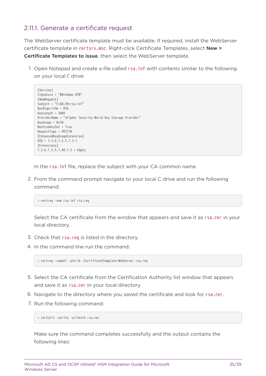### 2.11.1. Generate a certificate request

The WebServer certificate template must be available. If required, install the WebServer certificate template in certsrv.msc. Right-click Certificate Templates, select **New > Certificate Templates to issue**, then select the WebServer template.

1. Open Notepad and create a file called rsa.inf with contents similar to the following on your local C drive:

```
[Version]
Signature = "$Windows NT$"
[NewRequest]
Subject = "C=GB,CN=rsa.inf"
KeyAlgorithm = RSA
KeyLength = 2048
ProviderName = "nCipher Security World Key Storage Provider"
KeyUsage = 0xf0
MachineKeySet = True
RequestType = PKCS10
[EnhancedKeyUsageExtension]
0ID = 1.3.6.1.5.5.7.3.1
[Extensions]
1.3.6.1.5.5.7.48.1.5 = Empty
```
In the rsa. inf file, replace the subject with your CA common name.

2. From the command prompt navigate to your local C drive and run the following command:

> certreq -new rsa.inf rsa.req

Select the CA certificate from the window that appears and save it as rsa.cer in your local directory.

- 3. Check that rsa.req is listed in the directory.
- 4. In the command line run the command:

> certreq -submit -attrib -CertificateTemplate:WebServer rsa.req

- 5. Select the CA certificate from the Certification Authority list window that appears and save it as rsa.cer in your local directory.
- 6. Navigate to the directory where you saved the certificate and look for rsa.cer.
- 7. Run the following command:

> certutil -verify -urlfetch rsa.cer

Make sure the command completes successfully and the output contains the following lines: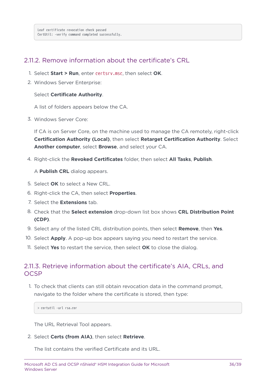### 2.11.2. Remove information about the certificate's CRL

- 1. Select **Start > Run**, enter certsrv.msc, then select **OK**.
- 2. Windows Server Enterprise:

#### Select **Certificate Authority**.

A list of folders appears below the CA.

3. Windows Server Core:

If CA is on Server Core, on the machine used to manage the CA remotely, right-click **Certification Authority (Local)**, then select **Retarget Certification Authority**. Select **Another computer**, select **Browse**, and select your CA.

4. Right-click the **Revoked Certificates** folder, then select **All Tasks**, **Publish**.

A **Publish CRL** dialog appears.

- 5. Select **OK** to select a New CRL.
- 6. Right-click the CA, then select **Properties**.
- 7. Select the **Extensions** tab.
- 8. Check that the **Select extension** drop-down list box shows **CRL Distribution Point (CDP)**.
- 9. Select any of the listed CRL distribution points, then select **Remove**, then **Yes**.
- 10. Select **Apply**. A pop-up box appears saying you need to restart the service.
- 11. Select **Yes** to restart the service, then select **OK** to close the dialog.

### 2.11.3. Retrieve information about the certificate's AIA, CRLs, and **OCSP**

1. To check that clients can still obtain revocation data in the command prompt, navigate to the folder where the certificate is stored, then type:

> certutil -url rsa.cer

The URL Retrieval Tool appears.

2. Select **Certs (from AIA)**, then select **Retrieve**.

The list contains the verified Certificate and its URL.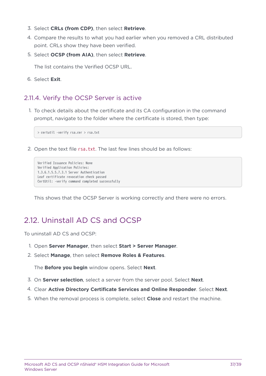- 3. Select **CRLs (from CDP)**, then select **Retrieve**.
- 4. Compare the results to what you had earlier when you removed a CRL distributed point. CRLs show they have been verified.
- 5. Select **OCSP (from AIA)**, then select **Retrieve**.

The list contains the Verified OCSP URL.

6. Select **Exit**.

### 2.11.4. Verify the OCSP Server is active

1. To check details about the certificate and its CA configuration in the command prompt, navigate to the folder where the certificate is stored, then type:

> certutil -verify rsa.cer > rsa.txt

2. Open the text file rsa.txt. The last few lines should be as follows:

```
Verified Issuance Policies: None
Verified Application Policies:
1.3.6.1.5.5.7.3.1 Server Authentication
Leaf certificate revocation check passed
CertUtil: -verify command completed successfully
```
This shows that the OCSP Server is working correctly and there were no errors.

# <span id="page-36-0"></span>2.12. Uninstall AD CS and OCSP

To uninstall AD CS and OCSP:

- 1. Open **Server Manager**, then select **Start > Server Manager**.
- 2. Select **Manage**, then select **Remove Roles & Features**.

The **Before you begin** window opens. Select **Next**.

- 3. On **Server selection**, select a server from the server pool. Select **Next**.
- 4. Clear **Active Directory Certificate Services and Online Responder**. Select **Next**.
- 5. When the removal process is complete, select **Close** and restart the machine.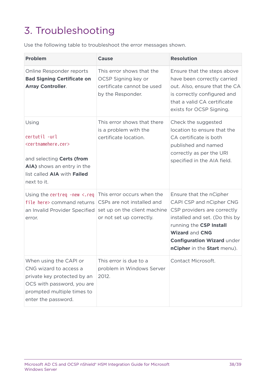# <span id="page-37-0"></span>3. Troubleshooting

Use the following table to troubleshoot the error messages shown.

| <b>Problem</b>                                                                                                                                                               | <b>Cause</b>                                                                                                         | <b>Resolution</b>                                                                                                                                                                                                                            |
|------------------------------------------------------------------------------------------------------------------------------------------------------------------------------|----------------------------------------------------------------------------------------------------------------------|----------------------------------------------------------------------------------------------------------------------------------------------------------------------------------------------------------------------------------------------|
| Online Responder reports<br><b>Bad Signing Certificate on</b><br><b>Array Controller.</b>                                                                                    | This error shows that the<br>OCSP Signing key or<br>certificate cannot be used<br>by the Responder.                  | Ensure that the steps above<br>have been correctly carried<br>out. Also, ensure that the CA<br>is correctly configured and<br>that a valid CA certificate<br>exists for OCSP Signing.                                                        |
| Using<br>certutil -url<br><certnamehere.cer><br/>and selecting Certs (from<br/>AIA) shows an entry in the<br/>list called AIA with Failed<br/>next to it.</certnamehere.cer> | This error shows that there<br>is a problem with the<br>certificate location.                                        | Check the suggested<br>location to ensure that the<br>CA certificate is both<br>published and named<br>correctly as per the URI<br>specified in the AIA field.                                                                               |
| Using the certreq $-new < rep$<br>file here> command returns<br>an Invalid Provider Specified<br>error.                                                                      | This error occurs when the<br>CSPs are not installed and<br>set up on the client machine<br>or not set up correctly. | Ensure that the nCipher<br>CAPI CSP and nCipher CNG<br>CSP providers are correctly<br>installed and set. (Do this by<br>running the CSP Install<br><b>Wizard and CNG</b><br><b>Configuration Wizard under</b><br>nCipher in the Start menu). |
| When using the CAPI or<br>CNG wizard to access a<br>private key protected by an<br>OCS with password, you are<br>prompted multiple times to<br>enter the password.           | This error is due to a<br>problem in Windows Server<br>2012.                                                         | Contact Microsoft.                                                                                                                                                                                                                           |